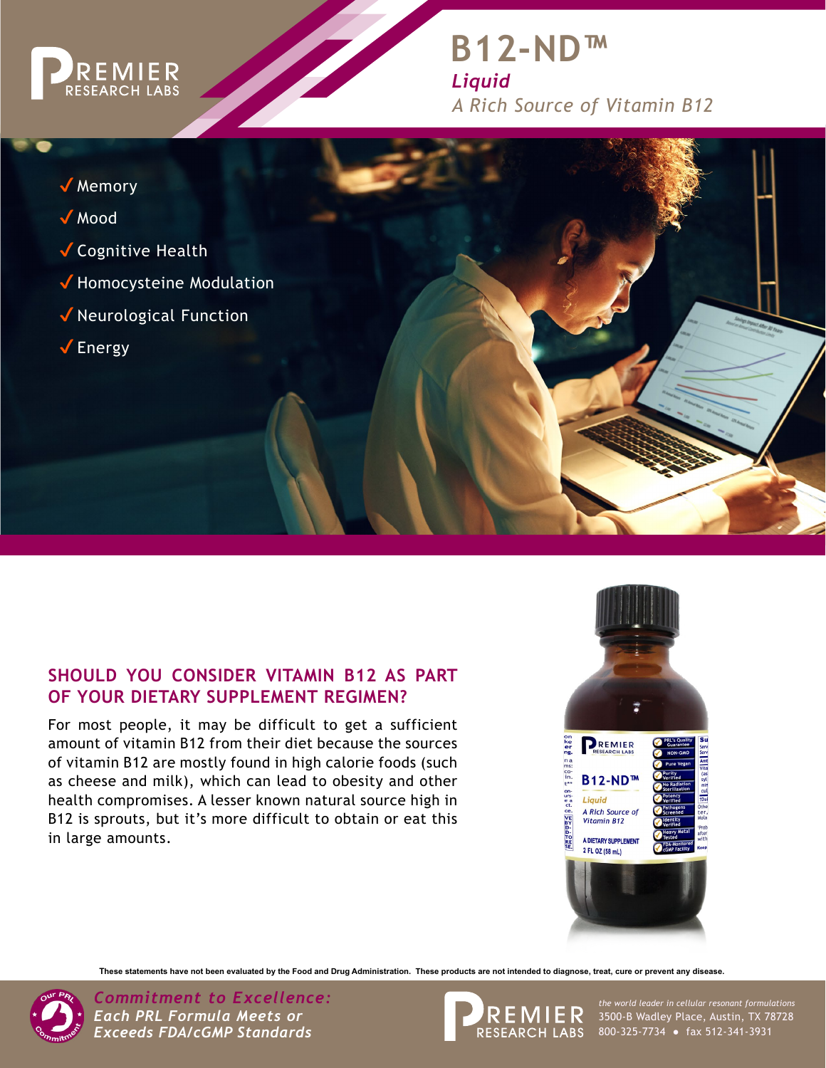

# **B12-ND™** *Liquid A Rich Source of Vitamin B12*



## **SHOULD YOU CONSIDER VITAMIN B12 AS PART OF YOUR DIETARY SUPPLEMENT REGIMEN?**

For most people, it may be difficult to get a sufficient amount of vitamin B12 from their diet because the sources of vitamin B12 are mostly found in high calorie foods (such as cheese and milk), which can lead to obesity and other health compromises. A lesser known natural source high in B12 is sprouts, but it's more difficult to obtain or eat this in large amounts.



**These statements have not been evaluated by the Food and Drug Administration. These products are not intended to diagnose, treat, cure or prevent any disease.**



*Commitment to Excellence: the world leader in cellular resonant formulations Each PRL Formula Meets or Exceeds FDA/cGMP Standards*



the world leader in cellular resonant formulations<br>3500-B Wadley Place, Austin, TX 78728 800-325-7734 ● fax 512-341-3931